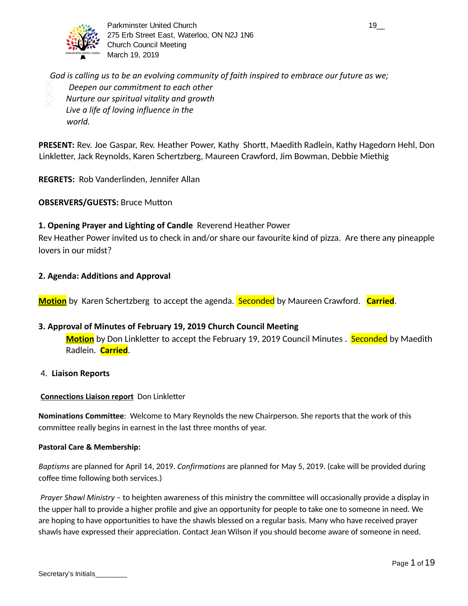

Parkminster United Church 19\_2 and 2008 and 2008 and 2008 and 2008 and 2008 and 2008 and 2008 and 2008 and 200 275 Erb Street East, Waterloo, ON N2J 1N6 Church Council Meeting March 19, 2019

*God is calling us to be an evolving community of faith inspired to embrace our future as we; Deepen our commitment to each other Nurture our spiritual vitality and growth Live a life of loving influence in the world.*

**PRESENT:** Rev. Joe Gaspar, Rev. Heather Power, Kathy Shortt, Maedith Radlein, Kathy Hagedorn Hehl, Don Linkletter, Jack Reynolds, Karen Schertzberg, Maureen Crawford, Jim Bowman, Debbie Miethig

**REGRETS:** Rob Vanderlinden, Jennifer Allan

**OBSERVERS/GUESTS: Bruce Mutton** 

## **1. Opening Prayer and Lighting of Candle** Reverend Heather Power

Rev Heather Power invited us to check in and/or share our favourite kind of pizza. Are there any pineapple lovers in our midst?

## **2. Agenda: Additions and Approval**

**Motion** by Karen Schertzberg to accept the agenda. **Seconded** by Maureen Crawford. **Carried**.

## **3. Approval of Minutes of February 19, 2019 Church Council Meeting**

**Motion** by Don Linkletter to accept the February 19, 2019 Council Minutes . Seconded by Maedith Radlein. **Carried** .

#### 4. **Liaison Reports**

#### **Connections Liaison report** Don Linkletter

**Nominations Committee**: Welcome to Mary Reynolds the new Chairperson. She reports that the work of this committee really begins in earnest in the last three months of year.

#### **Pastoral Care & Membership:**

*Baptisms* are planned for April 14, 2019. *Confirmations* are planned for May 5, 2019. (cake will be provided during coffee time following both services.)

*Prayer Shawl Ministry* - to heighten awareness of this ministry the committee will occasionally provide a display in the upper hall to provide a higher profile and give an opportunity for people to take one to someone in need. We are hoping to have opportunities to have the shawls blessed on a regular basis. Many who have received prayer shawls have expressed their appreciation. Contact Jean Wilson if you should become aware of someone in need.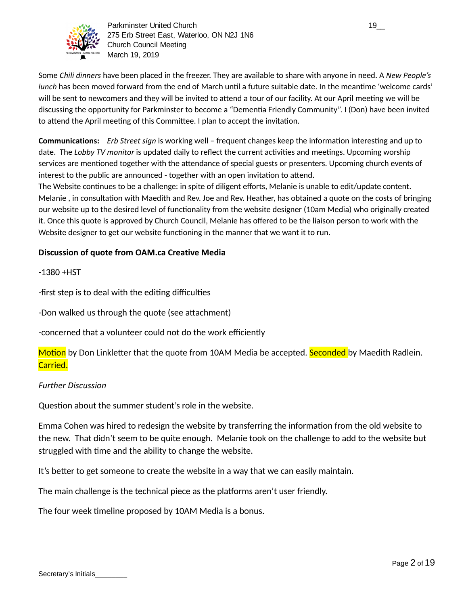

Parkminster United Church 19\_2 and the control of the control of the control of the control of the control of the control of the control of the control of the control of the control of the control of the control of the con 275 Erb Street East, Waterloo, ON N2J 1N6 Church Council Meeting March 19, 2019

Some *Chili dinners* have been placed in the freezer. They are available to share with anyone in need. A *New People's lunch* has been moved forward from the end of March until a future suitable date. In the meantime 'welcome cards' will be sent to newcomers and they will be invited to attend a tour of our facility. At our April meeting we will be discussing the opportunity for Parkminster to become a "Dementia Friendly Community". I (Don) have been invited to attend the April meeting of this Committee. I plan to accept the invitation.

**Communications:** *Erb Street sign* is working well – frequent changes keep the information interesting and up to date. The *Lobby TV monitor* is updated daily to reflect the current activities and meetings. Upcoming worship services are mentioned together with the attendance of special guests or presenters. Upcoming church events of interest to the public are announced - together with an open invitation to attend.

The Website continues to be a challenge: in spite of diligent efforts, Melanie is unable to edit/update content. Melanie, in consultation with Maedith and Rev. Joe and Rev. Heather, has obtained a quote on the costs of bringing our website up to the desired level of functionality from the website designer (10am Media) who originally created it. Once this quote is approved by Church Council, Melanie has offered to be the liaison person to work with the Website designer to get our website functioning in the manner that we want it to run.

## **Discussion of quote from OAM.ca Creative Media**

 $-1380 + HST$ 

-first step is to deal with the editing difficulties

-Don walked us through the quote (see attachment)

-concerned that a volunteer could not do the work efficiently

Motion by Don Linkletter that the quote from 10AM Media be accepted. Seconded by Maedith Radlein. Carried.

## *Further Discussion*

Question about the summer student's role in the website.

Emma Cohen was hired to redesign the website by transferring the information from the old website to the new. That didn't seem to be quite enough. Melanie took on the challenge to add to the website but struggled with time and the ability to change the website.

It's better to get someone to create the website in a way that we can easily maintain.

The main challenge is the technical piece as the platforms aren't user friendly.

The four week timeline proposed by 10AM Media is a bonus.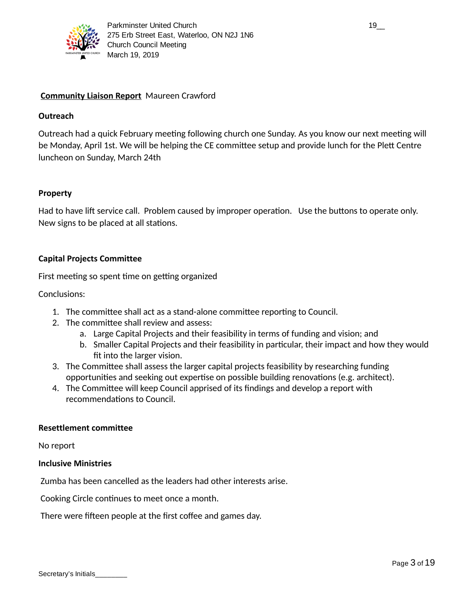

## **Community Liaison Report** Maureen Crawford

## **Outreach**

Outreach had a quick February meeting following church one Sunday. As you know our next meeting will be Monday, April 1st. We will be helping the CE committee setup and provide lunch for the Plett Centre luncheon on Sunday, March 24th

## **Property**

Had to have lift service call. Problem caused by improper operation. Use the buttons to operate only. New signs to be placed at all stations.

## **Capital Projects Committee**

First meeting so spent time on getting organized

Conclusions:

- 1. The committee shall act as a stand-alone committee reporting to Council.
- 2. The committee shall review and assess:
	- a. Large Capital Projects and their feasibility in terms of funding and vision; and
	- b. Smaller Capital Projects and their feasibility in particular, their impact and how they would fit into the larger vision.
- 3. The Committee shall assess the larger capital projects feasibility by researching funding opportunities and seeking out expertise on possible building renovations (e.g. architect).
- 4. The Committee will keep Council apprised of its findings and develop a report with recommendations to Council.

#### **Resettlement committee**

No report

#### **Inclusive Ministries**

Zumba has been cancelled as the leaders had other interests arise.

Cooking Circle continues to meet once a month.

There were fifteen people at the first coffee and games day.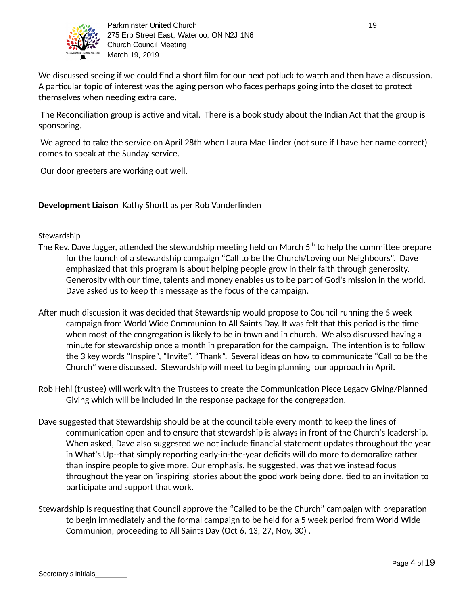

We discussed seeing if we could find a short film for our next potluck to watch and then have a discussion. A particular topic of interest was the aging person who faces perhaps going into the closet to protect themselves when needing extra care.

The Reconciliation group is active and vital. There is a book study about the Indian Act that the group is sponsoring.

 We agreed to take the service on April 28th when Laura Mae Linder (not sure if I have her name correct) comes to speak at the Sunday service.

Our door greeters are working out well.

**Development Liaison** Kathy Shortt as per Rob Vanderlinden

## Stewardship

- The Rev. Dave Jagger, attended the stewardship meeting held on March 5 $^{\rm th}$  to help the committee prepare for the launch of a stewardship campaign "Call to be the Church/Loving our Neighbours". Dave emphasized that this program is about helping people grow in their faith through generosity. Generosity with our time, talents and money enables us to be part of God's mission in the world. Dave asked us to keep this message as the focus of the campaign.
- After much discussion it was decided that Stewardship would propose to Council running the 5 week campaign from World Wide Communion to All Saints Day. It was felt that this period is the time when most of the congregation is likely to be in town and in church. We also discussed having a minute for stewardship once a month in preparation for the campaign. The intention is to follow the 3 key words "Inspire", "Invite", "Thank". Several ideas on how to communicate "Call to be the Church" were discussed. Stewardship will meet to begin planning our approach in April.
- Rob Hehl (trustee) will work with the Trustees to create the Communication Piece Legacy Giving/Planned Giving which will be included in the response package for the congregation.
- Dave suggested that Stewardship should be at the council table every month to keep the lines of communication open and to ensure that stewardship is always in front of the Church's leadership. When asked, Dave also suggested we not include financial statement updates throughout the year in What's Up--that simply reporting early-in-the-year deficits will do more to demoralize rather than inspire people to give more. Our emphasis, he suggested, was that we instead focus throughout the year on 'inspiring' stories about the good work being done, tied to an invitation to participate and support that work.
- Stewardship is requesting that Council approve the "Called to be the Church" campaign with preparation to begin immediately and the formal campaign to be held for a 5 week period from World Wide Communion, proceeding to All Saints Day (Oct 6, 13, 27, Nov, 30) .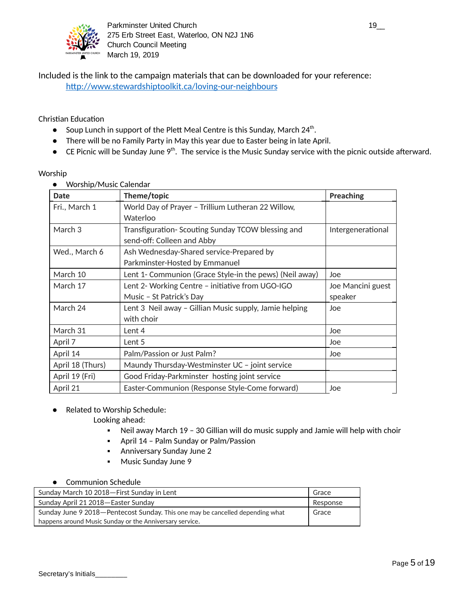

Included is the link to the campaign materials that can be downloaded for your reference: http://www.stewardshiptoolkit.ca/loving-our-neighbours

## Christian Education

- Soup Lunch in support of the Plett Meal Centre is this Sunday, March  $24^{\text{th}}$ .
- There will be no Family Party in May this year due to Easter being in late April.
- $\bullet$  CE Picnic will be Sunday June 9<sup>th</sup>. The service is the Music Sunday service with the picnic outside afterward.

#### Worship

● Worship/Music Calendar

| <b>Date</b>      | Theme/topic                                             | <b>Preaching</b>  |
|------------------|---------------------------------------------------------|-------------------|
| Fri., March 1    | World Day of Prayer - Trillium Lutheran 22 Willow,      |                   |
|                  | Waterloo                                                |                   |
| March 3          | Transfiguration-Scouting Sunday TCOW blessing and       | Intergenerational |
|                  | send-off: Colleen and Abby                              |                   |
| Wed., March 6    | Ash Wednesday-Shared service-Prepared by                |                   |
|                  | Parkminster-Hosted by Emmanuel                          |                   |
| March 10         | Lent 1- Communion (Grace Style-in the pews) (Neil away) | Joe               |
| March 17         | Lent 2- Working Centre - initiative from UGO-IGO        | Joe Mancini guest |
|                  | Music - St Patrick's Day                                | speaker           |
| March 24         | Lent 3 Neil away - Gillian Music supply, Jamie helping  | Joe               |
|                  | with choir                                              |                   |
| March 31         | Lent 4                                                  | Joe               |
| April 7          | Lent 5                                                  | Joe               |
| April 14         | Palm/Passion or Just Palm?                              | Joe               |
| April 18 (Thurs) | Maundy Thursday-Westminster UC - joint service          |                   |
| April 19 (Fri)   | Good Friday-Parkminster hosting joint service           |                   |
| April 21         | Easter-Communion (Response Style-Come forward)          | Joe               |

● Related to Worship Schedule:

Looking ahead:

- Neil away March 19 30 Gillian will do music supply and Jamie will help with choir
- April 14 Palm Sunday or Palm/Passion
- Anniversary Sunday June 2
- Music Sunday June 9

#### ● Communion Schedule

| Sunday March 10 2018-First Sunday in Lent                                       | Grace    |
|---------------------------------------------------------------------------------|----------|
| Sunday April 21 2018 – Easter Sunday                                            | Response |
| Sunday June 9 2018 – Pentecost Sunday. This one may be cancelled depending what | Grace    |
| happens around Music Sunday or the Anniversary service.                         |          |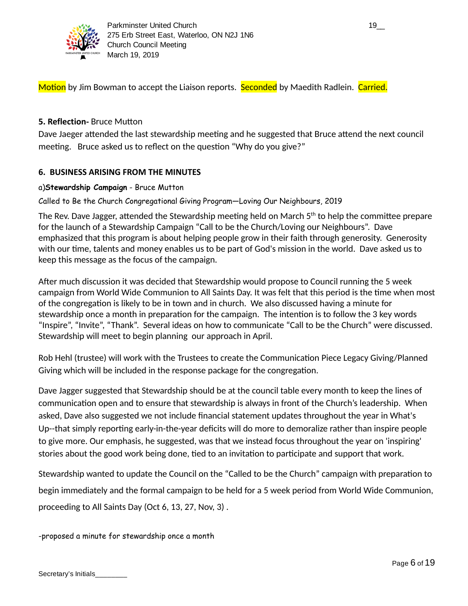

Motion by Jim Bowman to accept the Liaison reports. Seconded by Maedith Radlein. Carried.

## **5. Reflection-** Bruce Mutton

Dave Jaeger attended the last stewardship meeting and he suggested that Bruce attend the next council meeting. Bruce asked us to reflect on the question "Why do you give?"

## **6. BUSINESS ARISING FROM THE MINUTES**

## a)**Stewardship Campaign** - Bruce Mutton

Called to Be the Church Congregational Giving Program—Loving Our Neighbours, 2019

The Rev. Dave Jagger, attended the Stewardship meeting held on March 5 $^{\rm th}$  to help the committee prepare for the launch of a Stewardship Campaign "Call to be the Church/Loving our Neighbours". Dave emphasized that this program is about helping people grow in their faith through generosity. Generosity with our time, talents and money enables us to be part of God's mission in the world. Dave asked us to keep this message as the focus of the campaign.

After much discussion it was decided that Stewardship would propose to Council running the 5 week campaign from World Wide Communion to All Saints Day. It was felt that this period is the time when most of the congregation is likely to be in town and in church. We also discussed having a minute for stewardship once a month in preparation for the campaign. The intention is to follow the 3 key words "Inspire", "Invite", "Thank". Several ideas on how to communicate "Call to be the Church" were discussed. Stewardship will meet to begin planning our approach in April.

Rob Hehl (trustee) will work with the Trustees to create the Communication Piece Legacy Giving/Planned Giving which will be included in the response package for the congregation.

Dave Jagger suggested that Stewardship should be at the council table every month to keep the lines of communication open and to ensure that stewardship is always in front of the Church's leadership. When asked, Dave also suggested we not include financial statement updates throughout the year in What's Up--that simply reporting early-in-the-year deficits will do more to demoralize rather than inspire people to give more. Our emphasis, he suggested, was that we instead focus throughout the year on 'inspiring' stories about the good work being done, tied to an invitation to participate and support that work.

Stewardship wanted to update the Council on the "Called to be the Church" campaign with preparation to begin immediately and the formal campaign to be held for a 5 week period from World Wide Communion, proceeding to All Saints Day (Oct 6, 13, 27, Nov, 3) .

-proposed a minute for stewardship once a month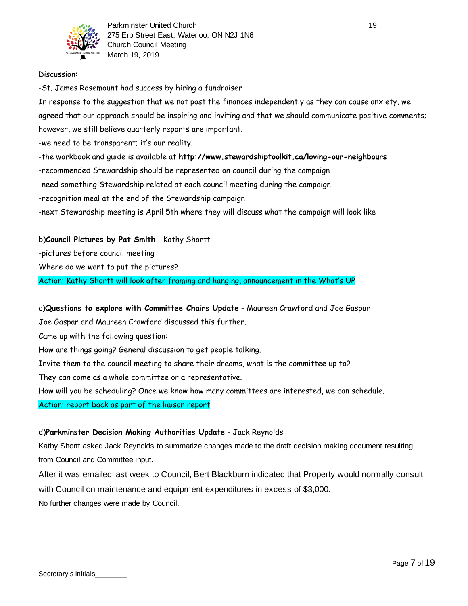

#### Discussion:

-St. James Rosemount had success by hiring a fundraiser

In response to the suggestion that we not post the finances independently as they can cause anxiety, we agreed that our approach should be inspiring and inviting and that we should communicate positive comments; however, we still believe quarterly reports are important.

-we need to be transparent; it's our reality.

-the workbook and guide is available at **http://www.stewardshiptoolkit.ca/loving-our-neighbours**

-recommended Stewardship should be represented on council during the campaign

-need something Stewardship related at each council meeting during the campaign

-recognition meal at the end of the Stewardship campaign

-next Stewardship meeting is April 5th where they will discuss what the campaign will look like

b)**Council Pictures by Pat Smith** - Kathy Shortt -pictures before council meeting Where do we want to put the pictures? Action: Kathy Shortt will look after framing and hanging, announcement in the What's UP

c)**Questions to explore with Committee Chairs Update** - Maureen Crawford and Joe Gaspar

Joe Gaspar and Maureen Crawford discussed this further.

Came up with the following question:

How are things going? General discussion to get people talking.

Invite them to the council meeting to share their dreams, what is the committee up to?

They can come as a whole committee or a representative.

How will you be scheduling? Once we know how many committees are interested, we can schedule.

Action: report back as part of the liaison report

#### d)**Parkminster Decision Making Authorities Update** - Jack Reynolds

Kathy Shortt asked Jack Reynolds to summarize changes made to the draft decision making document resulting from Council and Committee input.

After it was emailed last week to Council, Bert Blackburn indicated that Property would normally consult with Council on maintenance and equipment expenditures in excess of \$3,000. No further changes were made by Council.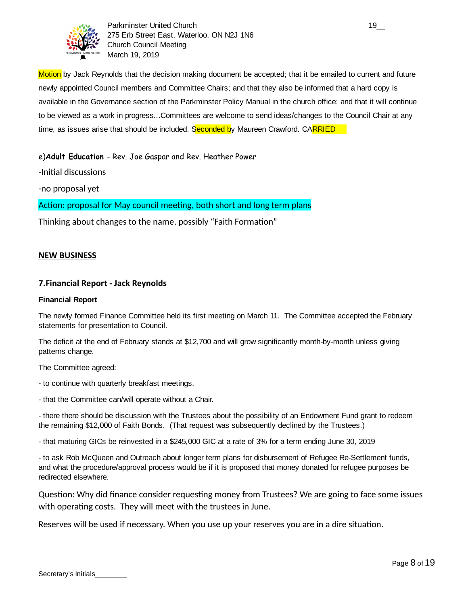

Parkminster United Church 19\_000 and 19\_000 and 19\_000 and 19\_000 and 19\_000 and 19\_000 and 19\_000 and 19\_000 and 19 275 Erb Street East, Waterloo, ON N2J 1N6 Church Council Meeting March 19, 2019

Motion by Jack Reynolds that the decision making document be accepted; that it be emailed to current and future newly appointed Council members and Committee Chairs; and that they also be informed that a hard copy is available in the Governance section of the Parkminster Policy Manual in the church office; and that it will continue to be viewed as a work in progress...Committees are welcome to send ideas/changes to the Council Chair at any time, as issues arise that should be included. Seconded by Maureen Crawford. CARRIED

e)**Adult Education** - Rev. Joe Gaspar and Rev. Heather Power

-Initial discussions

-no proposal yet

Action: proposal for May council meeting, both short and long term plans

Thinking about changes to the name, possibly "Faith Formation"

#### **NEW BUSINESS**

#### **7.Financial Report - Jack Reynolds**

#### **Financial Report**

The newly formed Finance Committee held its first meeting on March 11. The Committee accepted the February statements for presentation to Council.

The deficit at the end of February stands at \$12,700 and will grow significantly month-by-month unless giving patterns change.

The Committee agreed:

- to continue with quarterly breakfast meetings.

- that the Committee can/will operate without a Chair.

- there there should be discussion with the Trustees about the possibility of an Endowment Fund grant to redeem the remaining \$12,000 of Faith Bonds. (That request was subsequently declined by the Trustees.)

- that maturing GICs be reinvested in a \$245,000 GIC at a rate of 3% for a term ending June 30, 2019

- to ask Rob McQueen and Outreach about longer term plans for disbursement of Refugee Re-Settlement funds, and what the procedure/approval process would be if it is proposed that money donated for refugee purposes be redirected elsewhere.

Question: Why did finance consider requesting money from Trustees? We are going to face some issues with operating costs. They will meet with the trustees in June.

Reserves will be used if necessary. When you use up your reserves you are in a dire situation.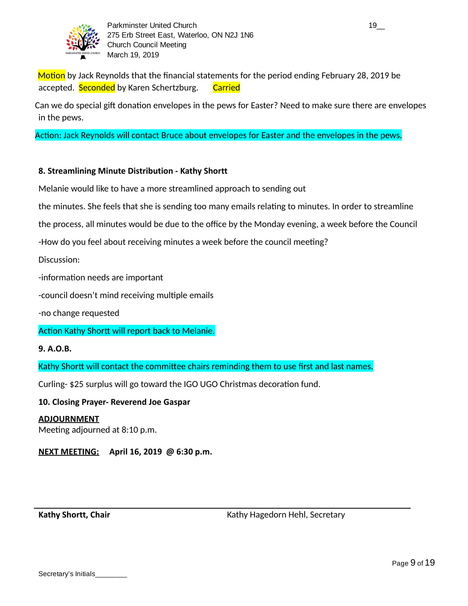

Motion by Jack Reynolds that the financial statements for the period ending February 28, 2019 be accepted. Seconded by Karen Schertzburg. Carried

Can we do special gift donation envelopes in the pews for Easter? Need to make sure there are envelopes in the pews.

Action: Jack Reynolds will contact Bruce about envelopes for Easter and the envelopes in the pews.

## **8. Streamlining Minute Distribution - Kathy Shortt**

Melanie would like to have a more streamlined approach to sending out

the minutes. She feels that she is sending too many emails relating to minutes. In order to streamline

the process, all minutes would be due to the office by the Monday evening, a week before the Council

-How do you feel about receiving minutes a week before the council meeting?

Discussion:

-information needs are important

-council doesn't mind receiving multiple emails

-no change requested

Action Kathy Shortt will report back to Melanie.

#### **9. A.O.B.**

Kathy Shortt will contact the committee chairs reminding them to use first and last names.

Curling- \$25 surplus will go toward the IGO UGO Christmas decoration fund.

**10. Closing Prayer- Reverend Joe Gaspar**

#### **ADJOURNMENT**

Meeting adjourned at 8:10 p.m.

## **NEXT MEETING: April 16, 2019 @ 6:30 p.m.**

**Kathy Shortt, Chair** Kathy Hagedorn Hehl, Secretary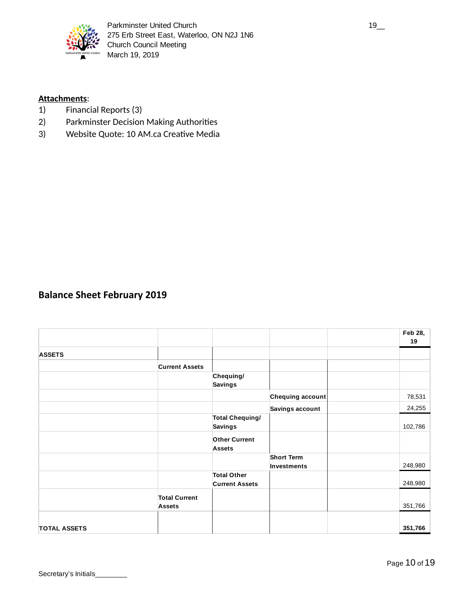

## **Attachments:**

- 1) Financial Reports (3)
- 2) Parkminster Decision Making Authorities
- 3) Website Quote: 10 AM.ca Creative Media

## **Balance Sheet February 2019**

|                     |                                       |                                             |                                  | Feb 28,<br>19 |
|---------------------|---------------------------------------|---------------------------------------------|----------------------------------|---------------|
| <b>ASSETS</b>       |                                       |                                             |                                  |               |
|                     | <b>Current Assets</b>                 |                                             |                                  |               |
|                     |                                       | Chequing/<br><b>Savings</b>                 |                                  |               |
|                     |                                       |                                             | Chequing account                 | 78,531        |
|                     |                                       |                                             | Savings account                  | 24,255        |
|                     |                                       | <b>Total Chequing/</b><br><b>Savings</b>    |                                  | 102,786       |
|                     |                                       | <b>Other Current</b><br><b>Assets</b>       |                                  |               |
|                     |                                       |                                             | <b>Short Term</b><br>Investments | 248,980       |
|                     |                                       | <b>Total Other</b><br><b>Current Assets</b> |                                  | 248,980       |
|                     | <b>Total Current</b><br><b>Assets</b> |                                             |                                  | 351,766       |
| <b>TOTAL ASSETS</b> |                                       |                                             |                                  | 351,766       |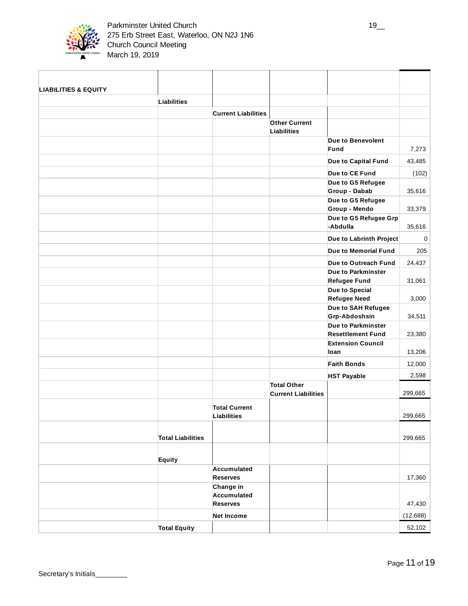

| <b>LIABILITIES &amp; EQUITY</b> |                          |                            |                                                  |                                     |           |
|---------------------------------|--------------------------|----------------------------|--------------------------------------------------|-------------------------------------|-----------|
|                                 | Liabilities              |                            |                                                  |                                     |           |
|                                 |                          | <b>Current Liabilities</b> |                                                  |                                     |           |
|                                 |                          |                            | <b>Other Current</b>                             |                                     |           |
|                                 |                          |                            | Liabilities                                      |                                     |           |
|                                 |                          |                            |                                                  | Due to Benevolent                   |           |
|                                 |                          |                            |                                                  | Fund                                | 7,273     |
|                                 |                          |                            |                                                  | Due to Capital Fund                 | 43,485    |
|                                 |                          |                            |                                                  | Due to CE Fund                      | (102)     |
|                                 |                          |                            |                                                  | Due to G5 Refugee                   |           |
|                                 |                          |                            |                                                  | Group - Dabab                       | 35,616    |
|                                 |                          |                            |                                                  | Due to G5 Refugee<br>Group - Mendo  | 33,379    |
|                                 |                          |                            |                                                  | Due to G5 Refugee Grp               |           |
|                                 |                          |                            |                                                  | -Abdulla                            | 35,616    |
|                                 |                          |                            |                                                  | Due to Labrinth Project             | 0         |
|                                 |                          |                            |                                                  | Due to Memorial Fund                | 205       |
|                                 |                          |                            |                                                  | Due to Outreach Fund                | 24,437    |
|                                 |                          |                            |                                                  | Due to Parkminster                  |           |
|                                 |                          |                            |                                                  | <b>Refugee Fund</b>                 | 31,061    |
|                                 |                          |                            |                                                  | Due to Special                      |           |
|                                 |                          |                            |                                                  | <b>Refugee Need</b>                 | 3,000     |
|                                 |                          |                            |                                                  | Due to SAH Refugee<br>Grp-Abdoshsin | 34,511    |
|                                 |                          |                            |                                                  | Due to Parkminster                  |           |
|                                 |                          |                            |                                                  | <b>Resettlement Fund</b>            | 23,380    |
|                                 |                          |                            |                                                  | <b>Extension Council</b>            |           |
|                                 |                          |                            |                                                  | loan                                | 13,206    |
|                                 |                          |                            |                                                  | <b>Faith Bonds</b>                  | 12,000    |
|                                 |                          |                            |                                                  | <b>HST Payable</b>                  | 2,598     |
|                                 |                          |                            | <b>Total Other</b><br><b>Current Liabilities</b> |                                     | 299,665   |
|                                 |                          |                            |                                                  |                                     |           |
|                                 |                          | <b>Total Current</b>       |                                                  |                                     |           |
|                                 |                          | Liabilities                |                                                  |                                     | 299,665   |
|                                 | <b>Total Liabilities</b> |                            |                                                  |                                     | 299,665   |
|                                 |                          |                            |                                                  |                                     |           |
|                                 | Equity                   |                            |                                                  |                                     |           |
|                                 |                          | Accumulated                |                                                  |                                     |           |
|                                 |                          | <b>Reserves</b>            |                                                  |                                     | 17,360    |
|                                 |                          | Change in<br>Accumulated   |                                                  |                                     |           |
|                                 |                          | <b>Reserves</b>            |                                                  |                                     | 47,430    |
|                                 |                          | <b>Net Income</b>          |                                                  |                                     | (12, 688) |
|                                 | <b>Total Equity</b>      |                            |                                                  |                                     | 52,102    |
|                                 |                          |                            |                                                  |                                     |           |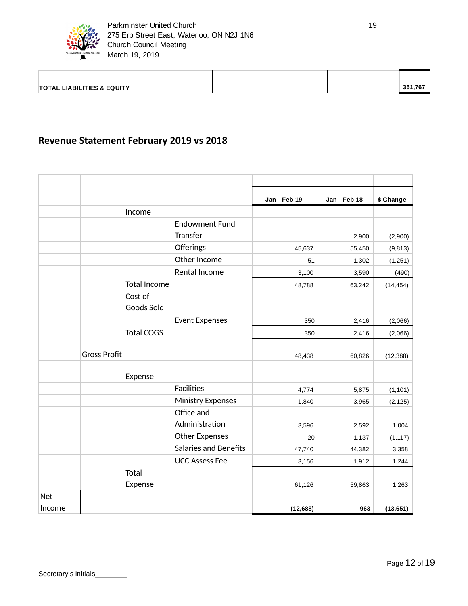

| <b>TOTAL LIABILITIES &amp; EQUITY</b> |  |  | $-351.76$ |
|---------------------------------------|--|--|-----------|

## **Revenue Statement February 2019 vs 2018**

|            |                     |                     |                              | Jan - Feb 19 | Jan - Feb 18 | \$ Change |
|------------|---------------------|---------------------|------------------------------|--------------|--------------|-----------|
|            |                     | Income              |                              |              |              |           |
|            |                     |                     | <b>Endowment Fund</b>        |              |              |           |
|            |                     |                     | Transfer                     |              | 2,900        | (2,900)   |
|            |                     |                     | Offerings                    | 45,637       | 55,450       | (9, 813)  |
|            |                     |                     | Other Income                 | 51           | 1,302        | (1,251)   |
|            |                     |                     | Rental Income                | 3,100        | 3,590        | (490)     |
|            |                     | <b>Total Income</b> |                              | 48,788       | 63,242       | (14, 454) |
|            |                     | Cost of             |                              |              |              |           |
|            |                     | Goods Sold          |                              |              |              |           |
|            |                     |                     | <b>Event Expenses</b>        | 350          | 2,416        | (2,066)   |
|            |                     | <b>Total COGS</b>   |                              | 350          | 2,416        | (2,066)   |
|            |                     |                     |                              |              |              |           |
|            | <b>Gross Profit</b> |                     |                              | 48,438       | 60,826       | (12, 388) |
|            |                     | Expense             |                              |              |              |           |
|            |                     |                     | <b>Facilities</b>            | 4,774        | 5,875        | (1, 101)  |
|            |                     |                     | <b>Ministry Expenses</b>     | 1,840        | 3,965        | (2, 125)  |
|            |                     |                     | Office and                   |              |              |           |
|            |                     |                     | Administration               | 3,596        | 2,592        | 1,004     |
|            |                     |                     | <b>Other Expenses</b>        | 20           | 1,137        | (1, 117)  |
|            |                     |                     | <b>Salaries and Benefits</b> | 47,740       | 44,382       | 3,358     |
|            |                     |                     | <b>UCC Assess Fee</b>        | 3,156        | 1,912        | 1,244     |
|            |                     | Total               |                              |              |              |           |
|            |                     | Expense             |                              | 61,126       | 59,863       | 1,263     |
| <b>Net</b> |                     |                     |                              |              |              |           |
| Income     |                     |                     |                              | (12, 688)    | 963          | (13, 651) |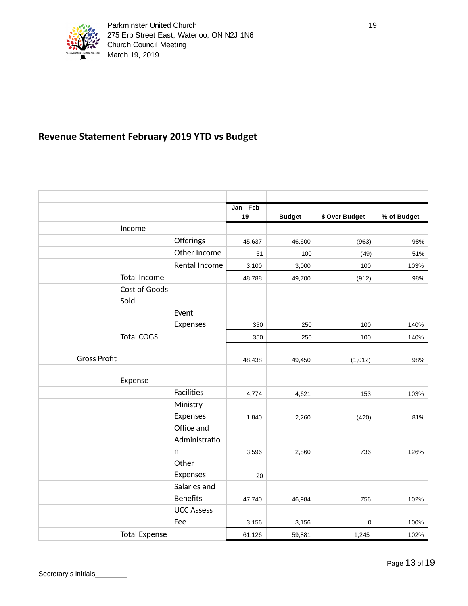

## **Revenue Statement February 2019 YTD vs Budget**

|                     |                       |                             | Jan - Feb |               |                |             |
|---------------------|-----------------------|-----------------------------|-----------|---------------|----------------|-------------|
|                     |                       |                             | 19        | <b>Budget</b> | \$ Over Budget | % of Budget |
|                     | Income                |                             |           |               |                |             |
|                     |                       | Offerings                   | 45,637    | 46,600        | (963)          | 98%         |
|                     |                       | Other Income                | 51        | 100           | (49)           | 51%         |
|                     |                       | Rental Income               | 3,100     | 3,000         | 100            | 103%        |
|                     | Total Income          |                             | 48,788    | 49,700        | (912)          | 98%         |
|                     | Cost of Goods<br>Sold |                             |           |               |                |             |
|                     |                       | Event                       |           |               |                |             |
|                     |                       | Expenses                    | 350       | 250           | 100            | 140%        |
|                     | <b>Total COGS</b>     |                             | 350       | 250           | 100            | 140%        |
| <b>Gross Profit</b> |                       |                             | 48,438    | 49,450        | (1,012)        | 98%         |
|                     | Expense               |                             |           |               |                |             |
|                     |                       | <b>Facilities</b>           | 4,774     | 4,621         | 153            | 103%        |
|                     |                       | Ministry                    |           |               |                |             |
|                     |                       | Expenses                    | 1,840     | 2,260         | (420)          | 81%         |
|                     |                       | Office and<br>Administratio |           |               |                |             |
|                     |                       | n                           | 3,596     | 2,860         | 736            | 126%        |
|                     |                       | Other                       |           |               |                |             |
|                     |                       | Expenses                    | 20        |               |                |             |
|                     |                       | Salaries and                |           |               |                |             |
|                     |                       | <b>Benefits</b>             | 47,740    | 46,984        | 756            | 102%        |
|                     |                       | <b>UCC Assess</b>           |           |               |                |             |
|                     |                       | Fee                         | 3,156     | 3,156         | 0              | 100%        |
|                     | <b>Total Expense</b>  |                             | 61,126    | 59,881        | 1,245          | 102%        |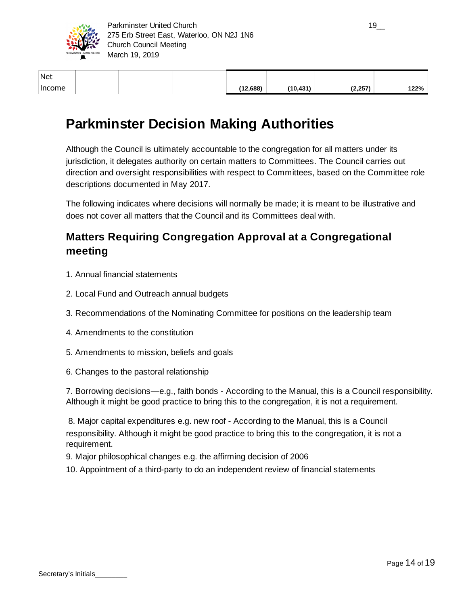

| net           |  |
|---------------|--|
| <b>Income</b> |  |

Net

| Income |  | (12.688) | (10, 431) | (2, 257) | 122% |
|--------|--|----------|-----------|----------|------|
| net    |  |          |           |          |      |

# **Parkminster Decision Making Authorities**

Although the Council is ultimately accountable to the congregation for all matters under its jurisdiction, it delegates authority on certain matters to Committees. The Council carries out direction and oversight responsibilities with respect to Committees, based on the Committee role descriptions documented in May 2017.

The following indicates where decisions will normally be made; it is meant to be illustrative and does not cover all matters that the Council and its Committees deal with.

## **Matters Requiring Congregation Approval at a Congregational meeting**

- 1. Annual financial statements
- 2. Local Fund and Outreach annual budgets
- 3. Recommendations of the Nominating Committee for positions on the leadership team
- 4. Amendments to the constitution
- 5. Amendments to mission, beliefs and goals
- 6. Changes to the pastoral relationship

7. Borrowing decisions—e.g., faith bonds - According to the Manual, this is a Council responsibility. Although it might be good practice to bring this to the congregation, it is not a requirement.

8. Major capital expenditures e.g. new roof - According to the Manual, this is a Council responsibility. Although it might be good practice to bring this to the congregation, it is not a requirement.

9. Major philosophical changes e.g. the affirming decision of 2006

10. Appointment of a third-party to do an independent review of financial statements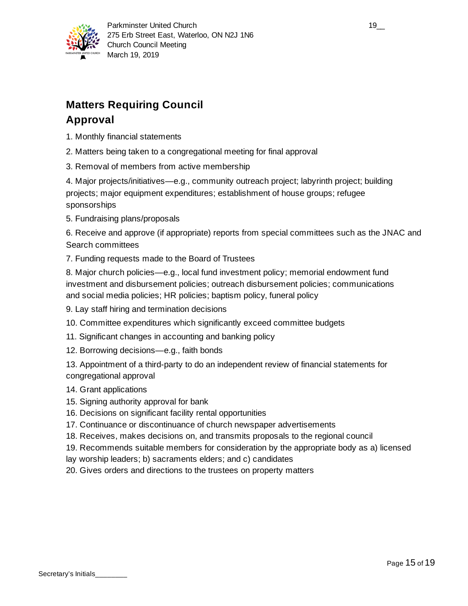

# **Matters Requiring Council Approval**

- 1. Monthly financial statements
- 2. Matters being taken to a congregational meeting for final approval
- 3. Removal of members from active membership

4. Major projects/initiatives—e.g., community outreach project; labyrinth project; building projects; major equipment expenditures; establishment of house groups; refugee sponsorships

5. Fundraising plans/proposals

6. Receive and approve (if appropriate) reports from special committees such as the JNAC and Search committees

7. Funding requests made to the Board of Trustees

8. Major church policies—e.g., local fund investment policy; memorial endowment fund investment and disbursement policies; outreach disbursement policies; communications and social media policies; HR policies; baptism policy, funeral policy

- 9. Lay staff hiring and termination decisions
- 10. Committee expenditures which significantly exceed committee budgets
- 11. Significant changes in accounting and banking policy
- 12. Borrowing decisions—e.g., faith bonds

13. Appointment of a third-party to do an independent review of financial statements for congregational approval

- 14. Grant applications
- 15. Signing authority approval for bank
- 16. Decisions on significant facility rental opportunities
- 17. Continuance or discontinuance of church newspaper advertisements
- 18. Receives, makes decisions on, and transmits proposals to the regional council
- 19. Recommends suitable members for consideration by the appropriate body as a) licensed
- lay worship leaders; b) sacraments elders; and c) candidates
- 20. Gives orders and directions to the trustees on property matters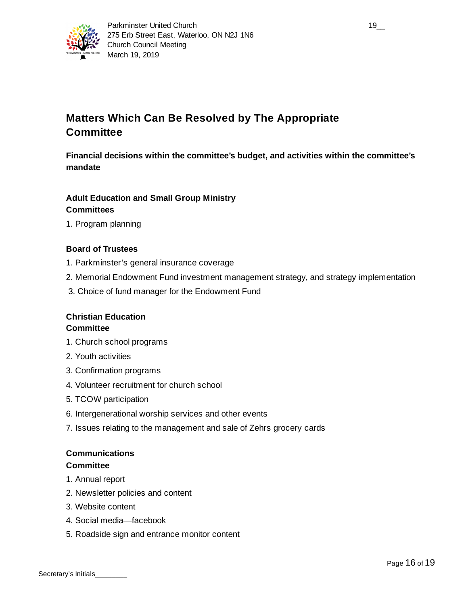

## **Matters Which Can Be Resolved by The Appropriate Committee**

**Financial decisions within the committee's budget, and activities within the committee's mandate**

## **Adult Education and Small Group Ministry Committees**

1. Program planning

## **Board of Trustees**

- 1. Parkminster's general insurance coverage
- 2. Memorial Endowment Fund investment management strategy, and strategy implementation
- 3. Choice of fund manager for the Endowment Fund

# **Christian Education**

## **Committee**

- 1. Church school programs
- 2. Youth activities
- 3. Confirmation programs
- 4. Volunteer recruitment for church school
- 5. TCOW participation
- 6. Intergenerational worship services and other events
- 7. Issues relating to the management and sale of Zehrs grocery cards

## **Communications**

#### **Committee**

- 1. Annual report
- 2. Newsletter policies and content
- 3. Website content
- 4. Social media—facebook
- 5. Roadside sign and entrance monitor content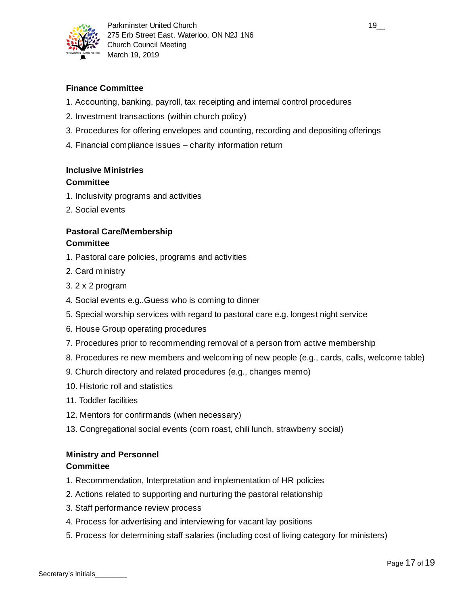

## **Finance Committee**

- 1. Accounting, banking, payroll, tax receipting and internal control procedures
- 2. Investment transactions (within church policy)
- 3. Procedures for offering envelopes and counting, recording and depositing offerings
- 4. Financial compliance issues charity information return

## **Inclusive Ministries**

## **Committee**

- 1. Inclusivity programs and activities
- 2. Social events

## **Pastoral Care/Membership Committee**

- 1. Pastoral care policies, programs and activities
- 2. Card ministry
- 3. 2 x 2 program
- 4. Social events e.g..Guess who is coming to dinner
- 5. Special worship services with regard to pastoral care e.g. longest night service
- 6. House Group operating procedures
- 7. Procedures prior to recommending removal of a person from active membership
- 8. Procedures re new members and welcoming of new people (e.g., cards, calls, welcome table)
- 9. Church directory and related procedures (e.g., changes memo)
- 10. Historic roll and statistics
- 11. Toddler facilities
- 12. Mentors for confirmands (when necessary)
- 13. Congregational social events (corn roast, chili lunch, strawberry social)

## **Ministry and Personnel**

### **Committee**

- 1. Recommendation, Interpretation and implementation of HR policies
- 2. Actions related to supporting and nurturing the pastoral relationship
- 3. Staff performance review process
- 4. Process for advertising and interviewing for vacant lay positions
- 5. Process for determining staff salaries (including cost of living category for ministers)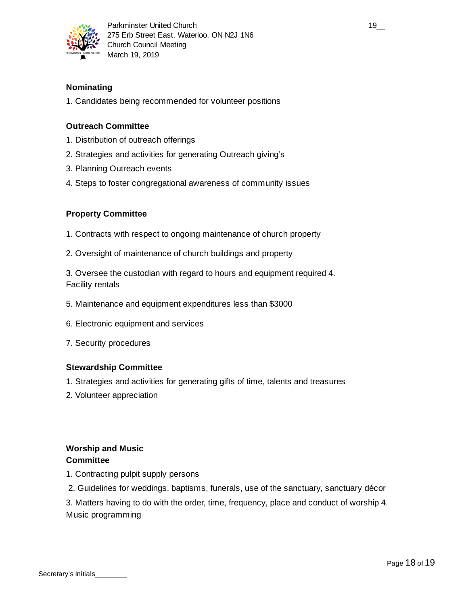

## **Nominating**

1. Candidates being recommended for volunteer positions

## **Outreach Committee**

- 1. Distribution of outreach offerings
- 2. Strategies and activities for generating Outreach giving's
- 3. Planning Outreach events
- 4. Steps to foster congregational awareness of community issues

## **Property Committee**

- 1. Contracts with respect to ongoing maintenance of church property
- 2. Oversight of maintenance of church buildings and property

3. Oversee the custodian with regard to hours and equipment required 4. Facility rentals

- 5. Maintenance and equipment expenditures less than \$3000
- 6. Electronic equipment and services
- 7. Security procedures

## **Stewardship Committee**

- 1. Strategies and activities for generating gifts of time, talents and treasures
- 2. Volunteer appreciation

## **Worship and Music Committee**

- 1. Contracting pulpit supply persons
- 2. Guidelines for weddings, baptisms, funerals, use of the sanctuary, sanctuary décor

3. Matters having to do with the order, time, frequency, place and conduct of worship 4. Music programming